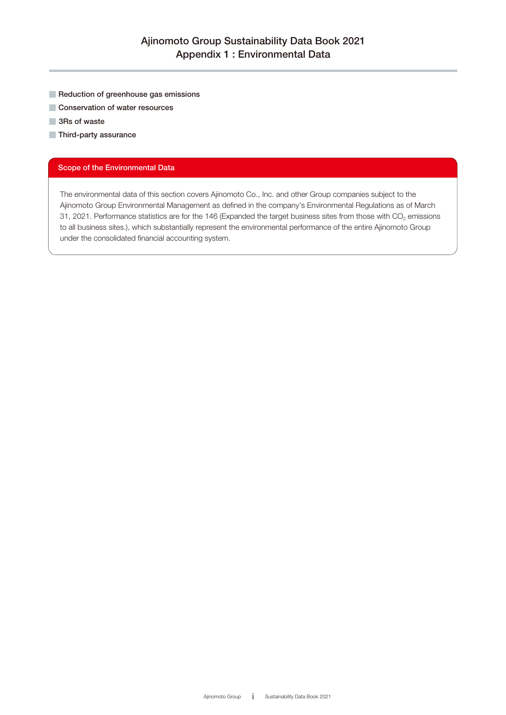- Reduction of greenhouse gas emissions
- Conservation of water resources
- 3Rs of waste
- Third-party assurance

#### Scope of the Environmental Data

The environmental data of this section covers Ajinomoto Co., Inc. and other Group companies subject to the Ajinomoto Group Environmental Management as defined in the company's Environmental Regulations as of March 31, 2021. Performance statistics are for the 146 (Expanded the target business sites from those with  $CO<sub>2</sub>$  emissions to all business sites.), which substantially represent the environmental performance of the entire Ajinomoto Group under the consolidated financial accounting system.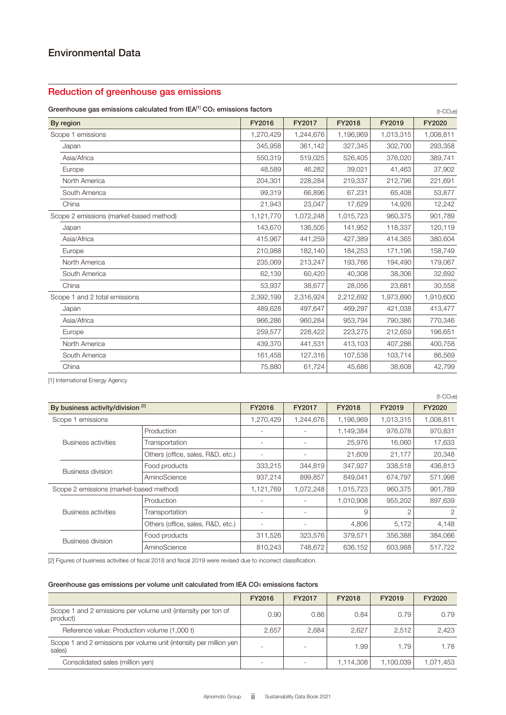### Reduction of greenhouse gas emissions

#### Greenhouse gas emissions calculated from IEA<sup>[1]</sup> CO<sub>2</sub> emissions factors

| Greenhouse gas emissions calculated from $ EA^{11}  CO2$ emissions factors<br>$(t$ -CO <sub>2</sub> e) |           |           |           |           |           |  |
|--------------------------------------------------------------------------------------------------------|-----------|-----------|-----------|-----------|-----------|--|
| By region                                                                                              | FY2016    | FY2017    | FY2018    | FY2019    | FY2020    |  |
| Scope 1 emissions                                                                                      | 1,270,429 | 1,244,676 | 1,196,969 | 1,013,315 | 1,008,811 |  |
| Japan                                                                                                  | 345,958   | 361,142   | 327,345   | 302,700   | 293,358   |  |
| Asia/Africa                                                                                            | 550,319   | 519,025   | 526,405   | 376,020   | 389,741   |  |
| Europe                                                                                                 | 48,589    | 46,282    | 39,021    | 41,463    | 37,902    |  |
| North America                                                                                          | 204,301   | 228,284   | 219,337   | 212,796   | 221,691   |  |
| South America                                                                                          | 99,319    | 66,896    | 67,231    | 65,408    | 53,877    |  |
| China                                                                                                  | 21,943    | 23,047    | 17,629    | 14,926    | 12,242    |  |
| Scope 2 emissions (market-based method)                                                                | 1,121,770 | 1,072,248 | 1,015,723 | 960,375   | 901,789   |  |
| Japan                                                                                                  | 143,670   | 136,505   | 141,952   | 118,337   | 120,119   |  |
| Asia/Africa                                                                                            | 415,967   | 441,259   | 427,389   | 414,365   | 380,604   |  |
| Europe                                                                                                 | 210,988   | 182,140   | 184,253   | 171,196   | 158,749   |  |
| North America                                                                                          | 235,069   | 213,247   | 193,766   | 194,490   | 179,067   |  |
| South America                                                                                          | 62,139    | 60,420    | 40,308    | 38,306    | 32,692    |  |
| China                                                                                                  | 53,937    | 38.677    | 28,056    | 23,681    | 30,558    |  |
| Scope 1 and 2 total emissions                                                                          | 2,392,199 | 2,316,924 | 2,212,692 | 1,973,690 | 1,910,600 |  |
| Japan                                                                                                  | 489,628   | 497,647   | 469,297   | 421,038   | 413,477   |  |
| Asia/Africa                                                                                            | 966,286   | 960,284   | 953,794   | 790,386   | 770,346   |  |
| Europe                                                                                                 | 259,577   | 228,422   | 223,275   | 212,659   | 196,651   |  |
| North America                                                                                          | 439,370   | 441,531   | 413,103   | 407,286   | 400,758   |  |
| South America                                                                                          | 161,458   | 127,316   | 107,538   | 103,714   | 86,569    |  |
| China                                                                                                  | 75,880    | 61,724    | 45,686    | 38,608    | 42,799    |  |

[1] International Energy Agency

|                                              |                                         |                                   |           |                          |           |           | $(t$ -CO <sub>2</sub> e) |
|----------------------------------------------|-----------------------------------------|-----------------------------------|-----------|--------------------------|-----------|-----------|--------------------------|
| By business activity/division <sup>[2]</sup> |                                         | FY2016                            | FY2017    | FY2018                   | FY2019    | FY2020    |                          |
|                                              | Scope 1 emissions                       |                                   | 1,270,429 | 1,244,676                | 1,196,969 | 1,013,315 | 1,008,811                |
|                                              |                                         | Production                        | ۰         |                          | 1,149,384 | 976,078   | 970,831                  |
|                                              | Business activities                     | Transportation                    | ۰         |                          | 25,976    | 16,060    | 17,633                   |
|                                              |                                         | Others (office, sales, R&D, etc.) | ٠         | $\overline{\phantom{a}}$ | 21,609    | 21,177    | 20,348                   |
| Business division                            | Food products                           | 333,215                           | 344,819   | 347,927                  | 338,518   | 436,813   |                          |
|                                              | AminoScience                            | 937,214                           | 899,857   | 849,041                  | 674,797   | 571,998   |                          |
|                                              | Scope 2 emissions (market-based method) |                                   | 1,121,769 | 1,072,248                | 1,015,723 | 960,375   | 901,789                  |
|                                              |                                         | Production                        |           |                          | 1,010,908 | 955,202   | 897,639                  |
| Business activities                          |                                         | Transportation                    |           |                          | 9         |           | 2                        |
|                                              | Others (office, sales, R&D, etc.)       |                                   |           | 4,806                    | 5,172     | 4,148     |                          |
| Business division                            | Food products                           | 311,526                           | 323,576   | 379,571                  | 356,388   | 384,066   |                          |
|                                              | AminoScience                            | 810.243                           | 748.672   | 636,152                  | 603.988   | 517,722   |                          |

[2] Figures of business activities of fiscal 2018 and fiscal 2019 were revised due to incorrect classification.

#### Greenhouse gas emissions per volume unit calculated from IEA CO2 emissions factors

|                                                                               | FY2016 | FY2017 | FY2018    | FY2019    | FY2020    |
|-------------------------------------------------------------------------------|--------|--------|-----------|-----------|-----------|
| Scope 1 and 2 emissions per volume unit (intensity per ton of<br>product)     | 0.90   | 0.86   | 0.84      | 0.79      | 0.79      |
| Reference value: Production volume (1,000 t)                                  | 2.657  | 2.684  | 2.627     | 2.512     | 2.423     |
| Scope 1 and 2 emissions per volume unit (intensity per million yen)<br>sales) |        |        | 1.99      | 1.79      | 1.78      |
| Consolidated sales (million yen)                                              |        |        | 1.114.308 | 1,100,039 | 1.071.453 |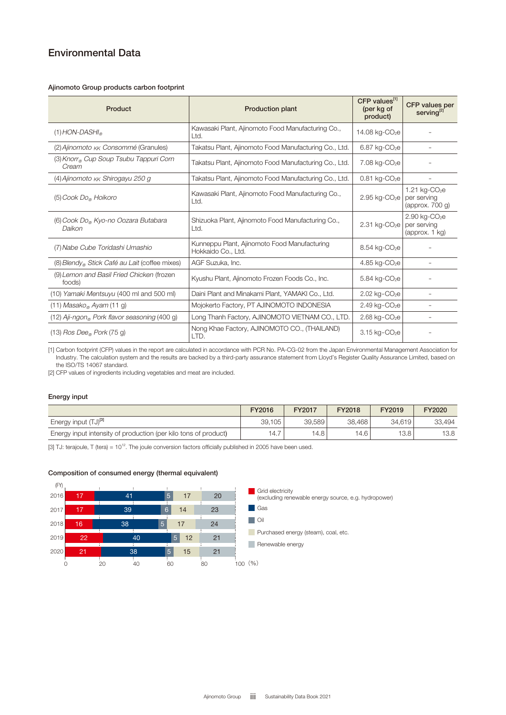## Environmental Data

#### Ajinomoto Group products carbon footprint

| Product                                                    | <b>Production plant</b>                                            | CFP values <sup>[1]</sup><br>(per kg of<br>product) | CFP values per<br>serving <sup>[2]</sup>                         |
|------------------------------------------------------------|--------------------------------------------------------------------|-----------------------------------------------------|------------------------------------------------------------------|
| $(1)$ HON-DASHI                                            | Kawasaki Plant, Ajinomoto Food Manufacturing Co.,<br>Ltd.          | 14.08 kg-CO <sub>2</sub> e                          |                                                                  |
| (2) Ajinomoto <sub>KK</sub> Consommé (Granules)            | Takatsu Plant, Ajinomoto Food Manufacturing Co., Ltd.              | 6.87 kg-CO <sub>2</sub> e                           | $\overline{\phantom{a}}$                                         |
| (3) Knorr® Cup Soup Tsubu Tappuri Corn<br>Cream            | Takatsu Plant, Ajinomoto Food Manufacturing Co., Ltd.              | 7.08 kg-CO <sub>2</sub> e                           |                                                                  |
| $(4)$ Ajinomoto $\kappa\kappa$ Shirogayu 250 g             | Takatsu Plant, Ajinomoto Food Manufacturing Co., Ltd.              | $0.81$ kg-CO <sub>2</sub> e                         |                                                                  |
| $(5)$ Cook Do <sub>®</sub> Hoikoro                         | Kawasaki Plant, Ajinomoto Food Manufacturing Co.,<br>Ltd.          | $2.95$ kg-CO <sub>2</sub> e                         | 1.21 $kg$ -CO <sub>2</sub> e<br>per serving<br>(approx. $700q$ ) |
| (6) Cook Do <sub>®</sub> Kyo-no Oozara Butabara<br>Daikon  | Shizuoka Plant, Ajinomoto Food Manufacturing Co.,<br>Ltd.          | $2.31$ kg-CO <sub>2</sub> e                         | $2.90$ kg-CO <sub>2</sub> e<br>per serving<br>(approx. 1 kg)     |
| (7) Nabe Cube Toridashi Umashio                            | Kunneppu Plant, Ajinomoto Food Manufacturing<br>Hokkaido Co., Ltd. | $8.54$ kg-CO <sub>2</sub> e                         |                                                                  |
| (8) Blendy Stick Café au Lait (coffee mixes)               | AGF Suzuka, Inc.                                                   | $4.85$ kg-CO <sub>2</sub> e                         |                                                                  |
| (9) Lemon and Basil Fried Chicken (frozen<br>foods)        | Kyushu Plant, Ajinomoto Frozen Foods Co., Inc.                     | 5.84 kg-CO <sub>2</sub> e                           |                                                                  |
| (10) Yamaki Mentsuyu (400 ml and 500 ml)                   | Daini Plant and Minakami Plant, YAMAKI Co., Ltd.                   | $2.02$ kg-CO <sub>2</sub> e                         | $\overline{\phantom{a}}$                                         |
| $(11)$ Masako <sub>®</sub> Ayam $(11 g)$                   | Mojokerto Factory, PT AJINOMOTO INDONESIA                          | $2.49$ kg-CO <sub>2</sub> e                         |                                                                  |
| $(12)$ Aji-ngon <sub>®</sub> Pork flavor seasoning (400 g) | Long Thanh Factory, AJINOMOTO VIETNAM CO., LTD.                    | $2.68$ kg- $CO2e$                                   |                                                                  |
| $(13)$ Ros Dee <sub>®</sub> Pork (75 g)                    | Nong Khae Factory, AJINOMOTO CO., (THAILAND)<br>LTD.               | $3.15$ kg-CO <sub>2</sub> e                         |                                                                  |

[1] Carbon footprint (CFP) values in the report are calculated in accordance with PCR No. PA-CG-02 from the Japan Environmental Management Association for Industry. The calculation system and the results are backed by a third-party assurance statement from Lloyd's Register Quality Assurance Limited, based on the ISO/TS 14067 standard.

[2] CFP values of ingredients including vegetables and meat are included.

#### Energy input

|                                                                 | FY2016 | <b>FY2017</b> | FY2018 | FY2019 | FY2020 |
|-----------------------------------------------------------------|--------|---------------|--------|--------|--------|
| Energy input (TJ) <sup>[3]</sup>                                | 39.105 | 39.589        | 38.468 | 34.619 | 33.494 |
| Energy input intensity of production (per kilo tons of product) | 14.7   | 4.8           | 14.6   | 13.8   | 13.8   |

[3] TJ: terajoule, T (tera) =  $10^{12}$ . The joule conversion factors officially published in 2005 have been used.

#### Composition of consumed energy (thermal equivalent)

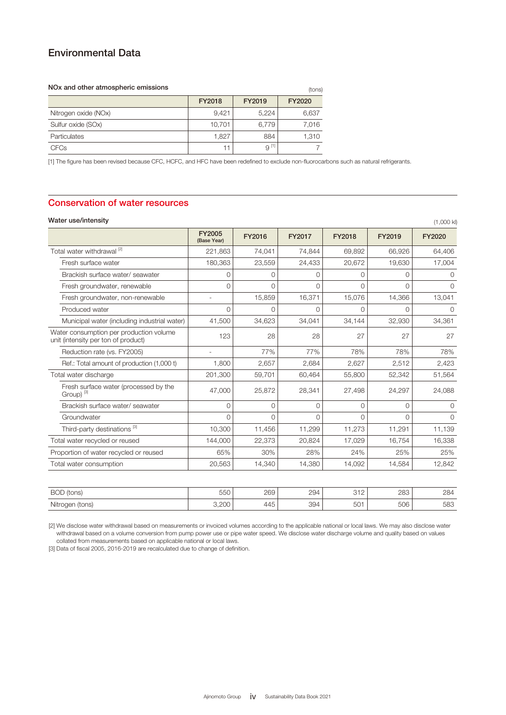## Environmental Data

#### NOx and other atmospheric emissions FY2018 FY2019 FY2020 Nitrogen oxide (NOx) 8,421 5,224 6,637 Sulfur oxide (SOx) 10,701 6,779 7,016 Particulates 1,827 884 1,310  $CFCs$   $9^{[1]}$   $9^{[1]}$   $7$ (tons)

[1] The figure has been revised because CFC, HCFC, and HFC have been redefined to exclude non-fluorocarbons such as natural refrigerants.

#### Conservation of water resources

#### Water use/intensity (1,000 kl)

|                                                                                | <b>FY2005</b><br>(Base Year) | FY2016 | FY2017 | FY2018   | FY2019   | FY2020      |
|--------------------------------------------------------------------------------|------------------------------|--------|--------|----------|----------|-------------|
| Total water withdrawal <sup>[2]</sup>                                          | 221,863                      | 74,041 | 74,844 | 69,892   | 66,926   | 64,406      |
| Fresh surface water                                                            | 180,363                      | 23,559 | 24,433 | 20,672   | 19,630   | 17,004      |
| Brackish surface water/ seawater                                               | $\Omega$                     | O      | O      | $\Omega$ | $\Omega$ | $\Omega$    |
| Fresh groundwater, renewable                                                   | $\Omega$                     | 0      | O      | $\Omega$ | $\Omega$ | $\Omega$    |
| Fresh groundwater, non-renewable                                               |                              | 15,859 | 16,371 | 15,076   | 14,366   | 13,041      |
| Produced water                                                                 | $\Omega$                     | ∩      | ∩      | $\Omega$ | $\Omega$ | $\Omega$    |
| Municipal water (including industrial water)                                   | 41,500                       | 34,623 | 34,041 | 34,144   | 32,930   | 34,361      |
| Water consumption per production volume<br>unit (intensity per ton of product) | 123                          | 28     | 28     | 27       | 27       | 27          |
| Reduction rate (vs. FY2005)                                                    |                              | 77%    | 77%    | 78%      | 78%      | 78%         |
| Ref.: Total amount of production (1,000 t)                                     | 1,800                        | 2,657  | 2,684  | 2,627    | 2,512    | 2,423       |
| Total water discharge                                                          | 201,300                      | 59,701 | 60,464 | 55,800   | 52,342   | 51,564      |
| Fresh surface water (processed by the<br>Group) <sup>[3]</sup>                 | 47,000                       | 25,872 | 28,341 | 27,498   | 24,297   | 24,088      |
| Brackish surface water/ seawater                                               | $\mathbf 0$                  | 0      | 0      | 0        | $\Omega$ | $\mathbf 0$ |
| Groundwater                                                                    | $\cap$                       | $\cap$ | ∩      | $\Omega$ | $\Omega$ | $\Omega$    |
| Third-party destinations <sup>[3]</sup>                                        | 10,300                       | 11,456 | 11,299 | 11,273   | 11,291   | 11,139      |
| Total water recycled or reused                                                 | 144,000                      | 22,373 | 20,824 | 17,029   | 16,754   | 16,338      |
| Proportion of water recycled or reused                                         | 65%                          | 30%    | 28%    | 24%      | 25%      | 25%         |
| Total water consumption                                                        | 20,563                       | 14,340 | 14,380 | 14,092   | 14,584   | 12,842      |

| <b>BOD</b><br>(tons)                   | $  \sim$<br>いへ<br>ouu            | วคด<br>∠∪ອ           | 294                    | $\sim$ $\sim$<br>◡⊢∠ | റററ<br>ںںے             | 284         |
|----------------------------------------|----------------------------------|----------------------|------------------------|----------------------|------------------------|-------------|
| .<br>(tons)<br>Nitroger<br>$   -$<br>ັ | $\cap$<br>$\cup$ . $\cup$ $\cup$ | $\sim$<br>ച⊿⊢<br>— ت | 30 <sub>4</sub><br>vv: | $\sqrt{2}$<br>501    | $\sqrt{2}$<br>ouu<br>. | r oo<br>ಀಀಀ |

[2] We disclose water withdrawal based on measurements or invoiced volumes according to the applicable national or local laws. We may also disclose water withdrawal based on a volume conversion from pump power use or pipe water speed. We disclose water discharge volume and quality based on values collated from measurements based on applicable national or local laws.

[3] Data of fiscal 2005, 2016-2019 are recalculated due to change of definition.